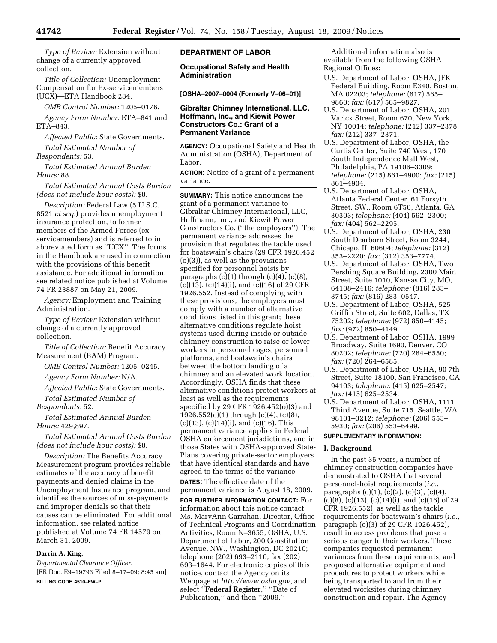*Type of Review:* Extension without change of a currently approved collection.

*Title of Collection:* Unemployment Compensation for Ex-servicemembers (UCX)—ETA Handbook 284.

*OMB Control Number:* 1205–0176.

*Agency Form Number:* ETA–841 and ETA–843.

*Affected Public:* State Governments.

*Total Estimated Number of Respondents:* 53.

*Total Estimated Annual Burden Hours:* 88.

*Total Estimated Annual Costs Burden (does not include hour costs):* \$0.

*Description:* Federal Law (5 U.S.C. 8521 *et seq.*) provides unemployment insurance protection, to former members of the Armed Forces (exservicemembers) and is referred to in abbreviated form as ''UCX''. The forms in the Handbook are used in connection with the provisions of this benefit assistance. For additional information, see related notice published at Volume 74 FR 23887 on May 21, 2009.

*Agency:* Employment and Training Administration.

*Type of Review:* Extension without change of a currently approved collection.

*Title of Collection:* Benefit Accuracy Measurement (BAM) Program.

*OMB Control Number:* 1205–0245.

*Agency Form Number:* N/A.

*Affected Public:* State Governments. *Total Estimated Number of* 

*Respondents:* 52.

*Total Estimated Annual Burden Hours:* 429,897.

*Total Estimated Annual Costs Burden (does not include hour costs):* \$0.

*Description:* The Benefits Accuracy Measurement program provides reliable estimates of the accuracy of benefit payments and denied claims in the Unemployment Insurance program, and identifies the sources of miss-payments and improper denials so that their causes can be eliminated. For additional information, see related notice published at Volume 74 FR 14579 on March 31, 2009.

## **Darrin A. King,**

*Departmental Clearance Officer.*  [FR Doc. E9–19793 Filed 8–17–09; 8:45 am] **BILLING CODE 4510–FW–P** 

# **DEPARTMENT OF LABOR**

**Occupational Safety and Health Administration** 

**[OSHA–2007–0004 (Formerly V–06–01)]** 

# **Gibraltar Chimney International, LLC, Hoffmann, Inc., and Kiewit Power Constructors Co.: Grant of a Permanent Variance**

**AGENCY:** Occupational Safety and Health Administration (OSHA), Department of Labor.

**ACTION:** Notice of a grant of a permanent variance.

**SUMMARY:** This notice announces the grant of a permanent variance to Gibraltar Chimney International, LLC, Hoffmann, Inc., and Kiewit Power Constructors Co. (''the employers''). The permanent variance addresses the provision that regulates the tackle used for boatswain's chairs (29 CFR 1926.452 (o)(3)), as well as the provisions specified for personnel hoists by paragraphs  $(c)(1)$  through  $(c)(4)$ ,  $(c)(8)$ ,  $(c)(13)$ ,  $(c)(14)(i)$ , and  $(c)(16)$  of 29 CFR 1926.552. Instead of complying with these provisions, the employers must comply with a number of alternative conditions listed in this grant; these alternative conditions regulate hoist systems used during inside or outside chimney construction to raise or lower workers in personnel cages, personnel platforms, and boatswain's chairs between the bottom landing of a chimney and an elevated work location. Accordingly, OSHA finds that these alternative conditions protect workers at least as well as the requirements specified by 29 CFR 1926.452(o)(3) and 1926.552(c)(1) through (c)(4), (c)(8),  $(c)(13)$ ,  $(c)(14)(i)$ , and  $(c)(16)$ . This permanent variance applies in Federal OSHA enforcement jurisdictions, and in those States with OSHA-approved State-Plans covering private-sector employers that have identical standards and have agreed to the terms of the variance.

**DATES:** The effective date of the permanent variance is August 18, 2009. **FOR FURTHER INFORMATION CONTACT:** For information about this notice contact Ms. MaryAnn Garrahan, Director, Office of Technical Programs and Coordination Activities, Room N–3655, OSHA, U.S. Department of Labor, 200 Constitution Avenue, NW., Washington, DC 20210; telephone (202) 693–2110; fax (202) 693–1644. For electronic copies of this notice, contact the Agency on its Webpage at *http://www.osha.gov*, and select ''**Federal Register**,'' ''Date of Publication," and then "2009."

Additional information also is available from the following OSHA Regional Offices:

- U.S. Department of Labor, OSHA, JFK Federal Building, Room E340, Boston, MA 02203; *telephone:* (617) 565– 9860; *fax:* (617) 565–9827.
- U.S. Department of Labor, OSHA, 201 Varick Street, Room 670, New York, NY 10014; *telephone:* (212) 337–2378; *fax:* (212) 337–2371.
- U.S. Department of Labor, OSHA, the Curtis Center, Suite 740 West, 170 South Independence Mall West, Philadelphia, PA 19106–3309; *telephone:* (215) 861–4900; *fax:* (215) 861–4904.
- U.S. Department of Labor, OSHA, Atlanta Federal Center, 61 Forsyth Street, SW., Room 6T50, Atlanta, GA 30303; *telephone:* (404) 562–2300; *fax:* (404) 562–2295.
- U.S. Department of Labor, OSHA, 230 South Dearborn Street, Room 3244, Chicago, IL 60604; *telephone:* (312) 353–2220; *fax:* (312) 353–7774.
- U.S. Department of Labor, OSHA, Two Pershing Square Building, 2300 Main Street, Suite 1010, Kansas City, MO, 64108–2416; *telephone:* (816) 283– 8745; *fax:* (816) 283–0547.
- U.S. Department of Labor, OSHA, 525 Griffin Street, Suite 602, Dallas, TX 75202; *telephone:* (972) 850–4145; *fax:* (972) 850–4149.
- U.S. Department of Labor, OSHA, 1999 Broadway, Suite 1690, Denver, CO 80202; *telephone:* (720) 264–6550; *fax:* (720) 264–6585.
- U.S. Department of Labor, OSHA, 90 7th Street, Suite 18100, San Francisco, CA 94103; *telephone:* (415) 625–2547; *fax:* (415) 625–2534.
- U.S. Department of Labor, OSHA, 1111 Third Avenue, Suite 715, Seattle, WA 98101–3212; *telephone:* (206) 553– 5930; *fax:* (206) 553–6499.

# **SUPPLEMENTARY INFORMATION:**

# **I. Background**

In the past 35 years, a number of chimney construction companies have demonstrated to OSHA that several personnel-hoist requirements (*i.e.*, paragraphs (c)(1), (c)(2), (c)(3), (c)(4), (c)(8), (c)(13), (c)(14)(i), and (c)(16) of 29 CFR 1926.552), as well as the tackle requirements for boatswain's chairs (*i.e.*, paragraph (o)(3) of 29 CFR 1926.452), result in access problems that pose a serious danger to their workers. These companies requested permanent variances from these requirements, and proposed alternative equipment and procedures to protect workers while being transported to and from their elevated worksites during chimney construction and repair. The Agency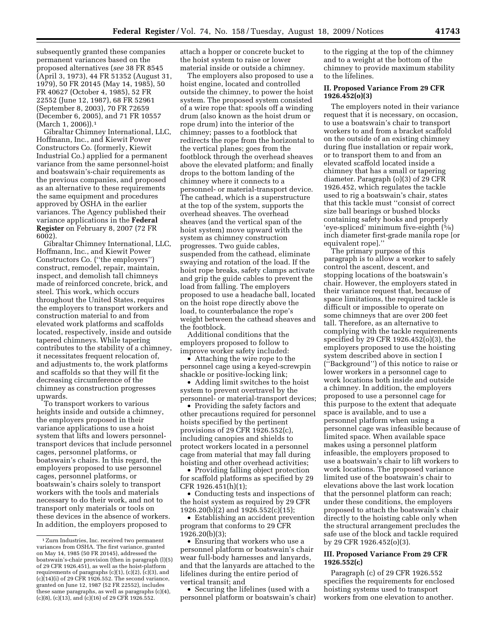subsequently granted these companies permanent variances based on the proposed alternatives (*see* 38 FR 8545 (April 3, 1973), 44 FR 51352 (August 31, 1979), 50 FR 20145 (May 14, 1985), 50 FR 40627 (October 4, 1985), 52 FR 22552 (June 12, 1987), 68 FR 52961 (September 8, 2003), 70 FR 72659 (December 6, 2005), and 71 FR 10557 (March 1, 2006)).1

Gibraltar Chimney International, LLC, Hoffmann, Inc., and Kiewit Power Constructors Co. (formerly, Kiewit Industrial Co.) applied for a permanent variance from the same personnel-hoist and boatswain's-chair requirements as the previous companies, and proposed as an alternative to these requirements the same equipment and procedures approved by OSHA in the earlier variances. The Agency published their variance applications in the **Federal Register** on February 8, 2007 (72 FR 6002).

Gibraltar Chimney International, LLC, Hoffmann, Inc., and Kiewit Power Constructors Co. (''the employers'') construct, remodel, repair, maintain, inspect, and demolish tall chimneys made of reinforced concrete, brick, and steel. This work, which occurs throughout the United States, requires the employers to transport workers and construction material to and from elevated work platforms and scaffolds located, respectively, inside and outside tapered chimneys. While tapering contributes to the stability of a chimney, it necessitates frequent relocation of, and adjustments to, the work platforms and scaffolds so that they will fit the decreasing circumference of the chimney as construction progresses upwards.

To transport workers to various heights inside and outside a chimney, the employers proposed in their variance applications to use a hoist system that lifts and lowers personneltransport devices that include personnel cages, personnel platforms, or boatswain's chairs. In this regard, the employers proposed to use personnel cages, personnel platforms, or boatswain's chairs solely to transport workers with the tools and materials necessary to do their work, and not to transport only materials or tools on these devices in the absence of workers. In addition, the employers proposed to

attach a hopper or concrete bucket to the hoist system to raise or lower material inside or outside a chimney.

The employers also proposed to use a hoist engine, located and controlled outside the chimney, to power the hoist system. The proposed system consisted of a wire rope that: spools off a winding drum (also known as the hoist drum or rope drum) into the interior of the chimney; passes to a footblock that redirects the rope from the horizontal to the vertical planes; goes from the footblock through the overhead sheaves above the elevated platform; and finally drops to the bottom landing of the chimney where it connects to a personnel- or material-transport device. The cathead, which is a superstructure at the top of the system, supports the overhead sheaves. The overhead sheaves (and the vertical span of the hoist system) move upward with the system as chimney construction progresses. Two guide cables, suspended from the cathead, eliminate swaying and rotation of the load. If the hoist rope breaks, safety clamps activate and grip the guide cables to prevent the load from falling. The employers proposed to use a headache ball, located on the hoist rope directly above the load, to counterbalance the rope's weight between the cathead sheaves and the footblock.

Additional conditions that the employers proposed to follow to improve worker safety included:

• Attaching the wire rope to the personnel cage using a keyed-screwpin shackle or positive-locking link;

• Adding limit switches to the hoist system to prevent overtravel by the personnel- or material-transport devices;

• Providing the safety factors and other precautions required for personnel hoists specified by the pertinent provisions of 29 CFR 1926.552(c), including canopies and shields to protect workers located in a personnel cage from material that may fall during hoisting and other overhead activities;

• Providing falling object protection for scaffold platforms as specified by 29 CFR 1926.451(h)(1);

• Conducting tests and inspections of the hoist system as required by 29 CFR 1926.20(b)(2) and 1926.552(c)(15);

• Establishing an accident prevention program that conforms to 29 CFR 1926.20(b)(3);

• Ensuring that workers who use a personnel platform or boatswain's chair wear full-body harnesses and lanyards, and that the lanyards are attached to the lifelines during the entire period of vertical transit; and

• Securing the lifelines (used with a personnel platform or boatswain's chair)

to the rigging at the top of the chimney and to a weight at the bottom of the chimney to provide maximum stability to the lifelines.

# **II. Proposed Variance From 29 CFR 1926.452(o)(3)**

The employers noted in their variance request that it is necessary, on occasion, to use a boatswain's chair to transport workers to and from a bracket scaffold on the outside of an existing chimney during flue installation or repair work, or to transport them to and from an elevated scaffold located inside a chimney that has a small or tapering diameter. Paragraph (o)(3) of 29 CFR 1926.452, which regulates the tackle used to rig a boatswain's chair, states that this tackle must ''consist of correct size ball bearings or bushed blocks containing safety hooks and properly 'eye-spliced' minimum five-eighth (5⁄8) inch diameter first-grade manila rope [or equivalent rope].''

The primary purpose of this paragraph is to allow a worker to safely control the ascent, descent, and stopping locations of the boatswain's chair. However, the employers stated in their variance request that, because of space limitations, the required tackle is difficult or impossible to operate on some chimneys that are over 200 feet tall. Therefore, as an alternative to complying with the tackle requirements specified by 29 CFR 1926.452(o)(3), the employers proposed to use the hoisting system described above in section I (''Background'') of this notice to raise or lower workers in a personnel cage to work locations both inside and outside a chimney. In addition, the employers proposed to use a personnel cage for this purpose to the extent that adequate space is available, and to use a personnel platform when using a personnel cage was infeasible because of limited space. When available space makes using a personnel platform infeasible, the employers proposed to use a boatswain's chair to lift workers to work locations. The proposed variance limited use of the boatswain's chair to elevations above the last work location that the personnel platform can reach; under these conditions, the employers proposed to attach the boatswain's chair directly to the hoisting cable only when the structural arrangement precludes the safe use of the block and tackle required by 29 CFR 1926.452(o)(3).

# **III. Proposed Variance From 29 CFR 1926.552(c)**

Paragraph (c) of 29 CFR 1926.552 specifies the requirements for enclosed hoisting systems used to transport workers from one elevation to another.

<sup>1</sup>Zurn Industries, Inc. received two permanent variances from OSHA. The first variance, granted on May 14, 1985 (50 FR 20145), addressed the boatswain's-chair provision (then in paragraph (l)(5) of 29 CFR 1926.451), as well as the hoist-platform requirements of paragraphs  $(c)(1)$ ,  $(c)(2)$ ,  $(c)(3)$ , and  $(c)(14)(i)$  of 29 CFR 1926.552. The second variance, granted on June 12, 1987 (52 FR 22552), includes these same paragraphs, as well as paragraphs (c)(4), (c)(8), (c)(13), and (c)(16) of 29 CFR 1926.552.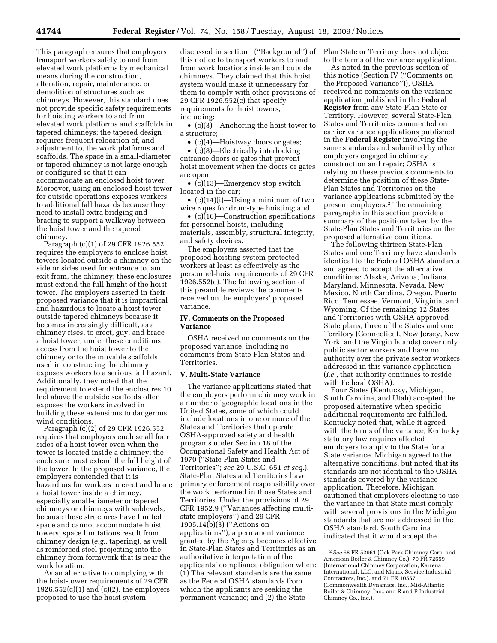This paragraph ensures that employers transport workers safely to and from elevated work platforms by mechanical means during the construction, alteration, repair, maintenance, or demolition of structures such as chimneys. However, this standard does not provide specific safety requirements for hoisting workers to and from elevated work platforms and scaffolds in tapered chimneys; the tapered design requires frequent relocation of, and adjustment to, the work platforms and scaffolds. The space in a small-diameter or tapered chimney is not large enough or configured so that it can accommodate an enclosed hoist tower. Moreover, using an enclosed hoist tower for outside operations exposes workers to additional fall hazards because they need to install extra bridging and bracing to support a walkway between the hoist tower and the tapered chimney.

Paragraph (c)(1) of 29 CFR 1926.552 requires the employers to enclose hoist towers located outside a chimney on the side or sides used for entrance to, and exit from, the chimney; these enclosures must extend the full height of the hoist tower. The employers asserted in their proposed variance that it is impractical and hazardous to locate a hoist tower outside tapered chimneys because it becomes increasingly difficult, as a chimney rises, to erect, guy, and brace a hoist tower; under these conditions, access from the hoist tower to the chimney or to the movable scaffolds used in constructing the chimney exposes workers to a serious fall hazard. Additionally, they noted that the requirement to extend the enclosures 10 feet above the outside scaffolds often exposes the workers involved in building these extensions to dangerous wind conditions.

Paragraph (c)(2) of 29 CFR 1926.552 requires that employers enclose all four sides of a hoist tower even when the tower is located inside a chimney; the enclosure must extend the full height of the tower. In the proposed variance, the employers contended that it is hazardous for workers to erect and brace a hoist tower inside a chimney, especially small-diameter or tapered chimneys or chimneys with sublevels, because these structures have limited space and cannot accommodate hoist towers; space limitations result from chimney design (*e.g.*, tapering), as well as reinforced steel projecting into the chimney from formwork that is near the work location.

As an alternative to complying with the hoist-tower requirements of 29 CFR  $1926.552(c)(1)$  and  $(c)(2)$ , the employers proposed to use the hoist system

discussed in section I (''Background'') of this notice to transport workers to and from work locations inside and outside chimneys. They claimed that this hoist system would make it unnecessary for them to comply with other provisions of 29 CFR 1926.552(c) that specify requirements for hoist towers, including:

• (c)(3)—Anchoring the hoist tower to a structure;

• (c)(4)—Hoistway doors or gates;

• (c)(8)—Electrically interlocking entrance doors or gates that prevent hoist movement when the doors or gates are open;

• (c)(13)—Emergency stop switch located in the car;

• (c)(14)(i)—Using a minimum of two wire ropes for drum-type hoisting; and

• (c)(16)—Construction specifications for personnel hoists, including materials, assembly, structural integrity, and safety devices.

The employers asserted that the proposed hoisting system protected workers at least as effectively as the personnel-hoist requirements of 29 CFR 1926.552(c). The following section of this preamble reviews the comments received on the employers' proposed variance.

# **IV. Comments on the Proposed Variance**

OSHA received no comments on the proposed variance, including no comments from State-Plan States and **Territories** 

## **V. Multi-State Variance**

The variance applications stated that the employers perform chimney work in a number of geographic locations in the United States, some of which could include locations in one or more of the States and Territories that operate OSHA-approved safety and health programs under Section 18 of the Occupational Safety and Health Act of 1970 (''State-Plan States and Territories''; *see* 29 U.S.C. 651 *et seq.*). State-Plan States and Territories have primary enforcement responsibility over the work performed in those States and Territories. Under the provisions of 29 CFR 1952.9 (''Variances affecting multistate employers'') and 29 CFR 1905.14(b)(3) (''Actions on applications''), a permanent variance granted by the Agency becomes effective in State-Plan States and Territories as an authoritative interpretation of the applicants' compliance obligation when: (1) The relevant standards are the same as the Federal OSHA standards from which the applicants are seeking the permanent variance; and (2) the StatePlan State or Territory does not object to the terms of the variance application.

As noted in the previous section of this notice (Section IV (''Comments on the Proposed Variance'')), OSHA received no comments on the variance application published in the **Federal Register** from any State-Plan State or Territory. However, several State-Plan States and Territories commented on earlier variance applications published in the **Federal Register** involving the same standards and submitted by other employers engaged in chimney construction and repair; OSHA is relying on these previous comments to determine the position of these State-Plan States and Territories on the variance applications submitted by the present employers.2 The remaining paragraphs in this section provide a summary of the positions taken by the State-Plan States and Territories on the proposed alternative conditions.

The following thirteen State-Plan States and one Territory have standards identical to the Federal OSHA standards and agreed to accept the alternative conditions: Alaska, Arizona, Indiana, Maryland, Minnesota, Nevada, New Mexico, North Carolina, Oregon, Puerto Rico, Tennessee, Vermont, Virginia, and Wyoming. Of the remaining 12 States and Territories with OSHA-approved State plans, three of the States and one Territory (Connecticut, New Jersey, New York, and the Virgin Islands) cover only public sector workers and have no authority over the private sector workers addressed in this variance application (*i.e.*, that authority continues to reside with Federal OSHA).

Four States (Kentucky, Michigan, South Carolina, and Utah) accepted the proposed alternative when specific additional requirements are fulfilled. Kentucky noted that, while it agreed with the terms of the variance, Kentucky statutory law requires affected employers to apply to the State for a State variance. Michigan agreed to the alternative conditions, but noted that its standards are not identical to the OSHA standards covered by the variance application. Therefore, Michigan cautioned that employers electing to use the variance in that State must comply with several provisions in the Michigan standards that are not addressed in the OSHA standard. South Carolina indicated that it would accept the

<sup>2</sup>*See* 68 FR 52961 (Oak Park Chimney Corp. and American Boiler & Chimney Co.), 70 FR 72659 (International Chimney Corporation, Karrena International, LLC, and Matrix Service Industrial Contractors, Inc.), and 71 FR 10557 (Commonwealth Dynamics, Inc., Mid-Atlantic Boiler & Chimney, Inc., and R and P Industrial Chimney Co., Inc.).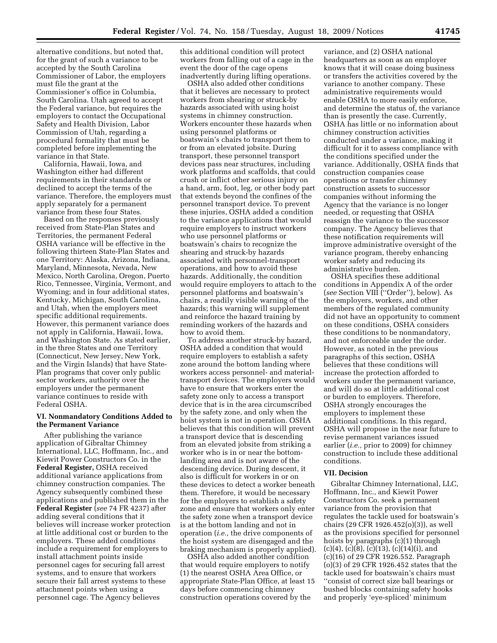alternative conditions, but noted that, for the grant of such a variance to be accepted by the South Carolina Commissioner of Labor, the employers must file the grant at the Commissioner's office in Columbia, South Carolina. Utah agreed to accept the Federal variance, but requires the employers to contact the Occupational Safety and Health Division, Labor Commission of Utah, regarding a procedural formality that must be completed before implementing the variance in that State.

California, Hawaii, Iowa, and Washington either had different requirements in their standards or declined to accept the terms of the variance. Therefore, the employers must apply separately for a permanent variance from these four States.

Based on the responses previously received from State-Plan States and Territories, the permanent Federal OSHA variance will be effective in the following thirteen State-Plan States and one Territory: Alaska, Arizona, Indiana, Maryland, Minnesota, Nevada, New Mexico, North Carolina, Oregon, Puerto Rico, Tennessee, Virginia, Vermont, and Wyoming; and in four additional states, Kentucky, Michigan, South Carolina, and Utah, when the employers meet specific additional requirements. However, this permanent variance does not apply in California, Hawaii, Iowa, and Washington State. As stated earlier, in the three States and one Territory (Connecticut, New Jersey, New York, and the Virgin Islands) that have State-Plan programs that cover only public sector workers, authority over the employers under the permanent variance continues to reside with Federal OSHA.

# **VI. Nonmandatory Conditions Added to the Permanent Variance**

After publishing the variance application of Gibraltar Chimney International, LLC, Hoffmann, Inc., and Kiewit Power Constructors Co. in the **Federal Register,** OSHA received additional variance applications from chimney construction companies. The Agency subsequently combined these applications and published them in the **Federal Register** (*see* 74 FR 4237) after adding several conditions that it believes will increase worker protection at little additional cost or burden to the employers. These added conditions include a requirement for employers to install attachment points inside personnel cages for securing fall arrest systems, and to ensure that workers secure their fall arrest systems to these attachment points when using a personnel cage. The Agency believes

this additional condition will protect workers from falling out of a cage in the event the door of the cage opens inadvertently during lifting operations.

OSHA also added other conditions that it believes are necessary to protect workers from shearing or struck-by hazards associated with using hoist systems in chimney construction. Workers encounter these hazards when using personnel platforms or boatswain's chairs to transport them to or from an elevated jobsite. During transport, these personnel transport devices pass near structures, including work platforms and scaffolds, that could crush or inflict other serious injury on a hand, arm, foot, leg, or other body part that extends beyond the confines of the personnel transport device. To prevent these injuries, OSHA added a condition to the variance applications that would require employers to instruct workers who use personnel platforms or boatswain's chairs to recognize the shearing and struck-by hazards associated with personnel-transport operations, and how to avoid these hazards. Additionally, the condition would require employers to attach to the personnel platforms and boatswain's chairs, a readily visible warning of the hazards; this warning will supplement and reinforce the hazard training by reminding workers of the hazards and how to avoid them.

To address another struck-by hazard, OSHA added a condition that would require employers to establish a safety zone around the bottom landing where workers access personnel- and materialtransport devices. The employers would have to ensure that workers enter the safety zone only to access a transport device that is in the area circumscribed by the safety zone, and only when the hoist system is not in operation. OSHA believes that this condition will prevent a transport device that is descending from an elevated jobsite from striking a worker who is in or near the bottomlanding area and is not aware of the descending device. During descent, it also is difficult for workers in or on these devices to detect a worker beneath them. Therefore, it would be necessary for the employers to establish a safety zone and ensure that workers only enter the safety zone when a transport device is at the bottom landing and not in operation (*i.e.,* the drive components of the hoist system are disengaged and the braking mechanism is properly applied).

OSHA also added another condition that would require employers to notify (1) the nearest OSHA Area Office, or appropriate State-Plan Office, at least 15 days before commencing chimney construction operations covered by the

variance, and (2) OSHA national headquarters as soon as an employer knows that it will cease doing business or transfers the activities covered by the variance to another company. These administrative requirements would enable OSHA to more easily enforce, and determine the status of, the variance than is presently the case. Currently, OSHA has little or no information about chimney construction activities conducted under a variance, making it difficult for it to assess compliance with the conditions specified under the variance. Additionally, OSHA finds that construction companies cease operations or transfer chimney construction assets to successor companies without informing the Agency that the variance is no longer needed, or requesting that OSHA reassign the variance to the successor company. The Agency believes that these notification requirements will improve administrative oversight of the variance program, thereby enhancing worker safety and reducing its administrative burden.

OSHA specifies these additional conditions in Appendix A of the order (*see* Section VIII (''Order''), below). As the employers, workers, and other members of the regulated community did not have an opportunity to comment on these conditions, OSHA considers these conditions to be nonmandatory, and not enforceable under the order. However, as noted in the previous paragraphs of this section, OSHA believes that these conditions will increase the protection afforded to workers under the permanent variance, and will do so at little additional cost or burden to employers. Therefore, OSHA strongly encourages the employers to implement these additional conditions. In this regard, OSHA will propose in the near future to revise permanent variances issued earlier (*i.e.,* prior to 2009) for chimney construction to include these additional conditions.

#### **VII. Decision**

Gibraltar Chimney International, LLC, Hoffmann, Inc., and Kiewit Power Constructors Co. seek a permanent variance from the provision that regulates the tackle used for boatswain's chairs (29 CFR 1926.452(o)(3)), as well as the provisions specified for personnel hoists by paragraphs (c)(1) through  $(c)(4)$ ,  $(c)(8)$ ,  $(c)(13)$ ,  $(c)(14)(i)$ , and (c)(16) of 29 CFR 1926.552. Paragraph (o)(3) of 29 CFR 1926.452 states that the tackle used for boatswain's chairs must ''consist of correct size ball bearings or bushed blocks containing safety hooks and properly 'eye-spliced' minimum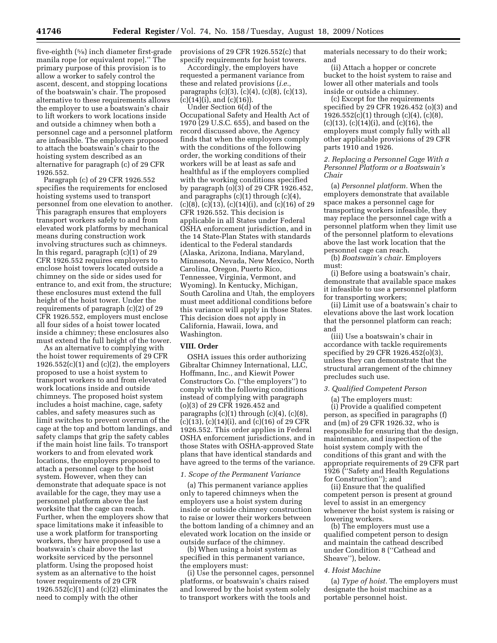five-eighth (5⁄8) inch diameter first-grade manila rope [or equivalent rope].'' The primary purpose of this provision is to allow a worker to safely control the ascent, descent, and stopping locations of the boatswain's chair. The proposed alternative to these requirements allows the employer to use a boatswain's chair to lift workers to work locations inside and outside a chimney when both a personnel cage and a personnel platform are infeasible. The employers proposed to attach the boatswain's chair to the hoisting system described as an alternative for paragraph (c) of 29 CFR 1926.552.

Paragraph (c) of 29 CFR 1926.552 specifies the requirements for enclosed hoisting systems used to transport personnel from one elevation to another. This paragraph ensures that employers transport workers safely to and from elevated work platforms by mechanical means during construction work involving structures such as chimneys. In this regard, paragraph (c)(1) of 29 CFR 1926.552 requires employers to enclose hoist towers located outside a chimney on the side or sides used for entrance to, and exit from, the structure; these enclosures must extend the full height of the hoist tower. Under the requirements of paragraph (c)(2) of 29 CFR 1926.552, employers must enclose all four sides of a hoist tower located inside a chimney; these enclosures also must extend the full height of the tower.

As an alternative to complying with the hoist tower requirements of 29 CFR  $1926.552(c)(1)$  and  $(c)(2)$ , the employers proposed to use a hoist system to transport workers to and from elevated work locations inside and outside chimneys. The proposed hoist system includes a hoist machine, cage, safety cables, and safety measures such as limit switches to prevent overrun of the cage at the top and bottom landings, and safety clamps that grip the safety cables if the main hoist line fails. To transport workers to and from elevated work locations, the employers proposed to attach a personnel cage to the hoist system. However, when they can demonstrate that adequate space is not available for the cage, they may use a personnel platform above the last worksite that the cage can reach. Further, when the employers show that space limitations make it infeasible to use a work platform for transporting workers, they have proposed to use a boatswain's chair above the last worksite serviced by the personnel platform. Using the proposed hoist system as an alternative to the hoist tower requirements of 29 CFR  $1926.552(c)(1)$  and  $(c)(2)$  eliminates the need to comply with the other

provisions of 29 CFR 1926.552(c) that specify requirements for hoist towers.

Accordingly, the employers have requested a permanent variance from these and related provisions (*i.e.,*  paragraphs (c)(3), (c)(4), (c)(8), (c)(13), (c)(14)(i), and (c)(16)).

Under Section 6(d) of the Occupational Safety and Health Act of 1970 (29 U.S.C. 655), and based on the record discussed above, the Agency finds that when the employers comply with the conditions of the following order, the working conditions of their workers will be at least as safe and healthful as if the employers complied with the working conditions specified by paragraph (o)(3) of 29 CFR 1926.452, and paragraphs (c)(1) through (c)(4),  $(c)(8)$ ,  $(c)(13)$ ,  $(c)(14)(i)$ , and  $(c)(16)$  of 29 CFR 1926.552. This decision is applicable in all States under Federal OSHA enforcement jurisdiction, and in the 14 State-Plan States with standards identical to the Federal standards (Alaska, Arizona, Indiana, Maryland, Minnesota, Nevada, New Mexico, North Carolina, Oregon, Puerto Rico, Tennessee, Virginia, Vermont, and Wyoming). In Kentucky, Michigan, South Carolina and Utah, the employers must meet additional conditions before this variance will apply in those States. This decision does not apply in California, Hawaii, Iowa, and Washington.

#### **VIII. Order**

OSHA issues this order authorizing Gibraltar Chimney International, LLC, Hoffmann, Inc., and Kiewit Power Constructors Co. (''the employers'') to comply with the following conditions instead of complying with paragraph (o)(3) of 29 CFR 1926.452 and paragraphs  $(c)(1)$  through  $(c)(4)$ ,  $(c)(8)$ ,  $(c)(13)$ ,  $(c)(14)(i)$ , and  $(c)(16)$  of 29 CFR 1926.552. This order applies in Federal OSHA enforcement jurisdictions, and in those States with OSHA-approved State plans that have identical standards and have agreed to the terms of the variance.

#### *1. Scope of the Permanent Variance*

(a) This permanent variance applies only to tapered chimneys when the employers use a hoist system during inside or outside chimney construction to raise or lower their workers between the bottom landing of a chimney and an elevated work location on the inside or outside surface of the chimney.

(b) When using a hoist system as specified in this permanent variance, the employers must:

(i) Use the personnel cages, personnel platforms, or boatswain's chairs raised and lowered by the hoist system solely to transport workers with the tools and

materials necessary to do their work; and

(ii) Attach a hopper or concrete bucket to the hoist system to raise and lower all other materials and tools inside or outside a chimney.

(c) Except for the requirements specified by 29 CFR 1926.452 (o)(3) and 1926.552(c)(1) through (c)(4), (c)(8),  $(c)(13)$ ,  $(c)(14)(i)$ , and  $(c)(16)$ , the employers must comply fully with all other applicable provisions of 29 CFR parts 1910 and 1926.

## *2. Replacing a Personnel Cage With a Personnel Platform or a Boatswain's Chair*

(a) *Personnel platform.* When the employers demonstrate that available space makes a personnel cage for transporting workers infeasible, they may replace the personnel cage with a personnel platform when they limit use of the personnel platform to elevations above the last work location that the personnel cage can reach.

(b) *Boatswain's chair.* Employers must:

(i) Before using a boatswain's chair, demonstrate that available space makes it infeasible to use a personnel platform for transporting workers;

(ii) Limit use of a boatswain's chair to elevations above the last work location that the personnel platform can reach; and

(iii) Use a boatswain's chair in accordance with tackle requirements specified by 29 CFR 1926.452(o)(3), unless they can demonstrate that the structural arrangement of the chimney precludes such use.

# *3. Qualified Competent Person*

(a) The employers must: (i) Provide a qualified competent person, as specified in paragraphs (f) and (m) of 29 CFR 1926.32, who is responsible for ensuring that the design, maintenance, and inspection of the hoist system comply with the conditions of this grant and with the appropriate requirements of 29 CFR part 1926 (''Safety and Health Regulations for Construction''); and

(ii) Ensure that the qualified competent person is present at ground level to assist in an emergency whenever the hoist system is raising or lowering workers.

(b) The employers must use a qualified competent person to design and maintain the cathead described under Condition 8 (''Cathead and Sheave''), below.

# *4. Hoist Machine*

(a) *Type of hoist.* The employers must designate the hoist machine as a portable personnel hoist.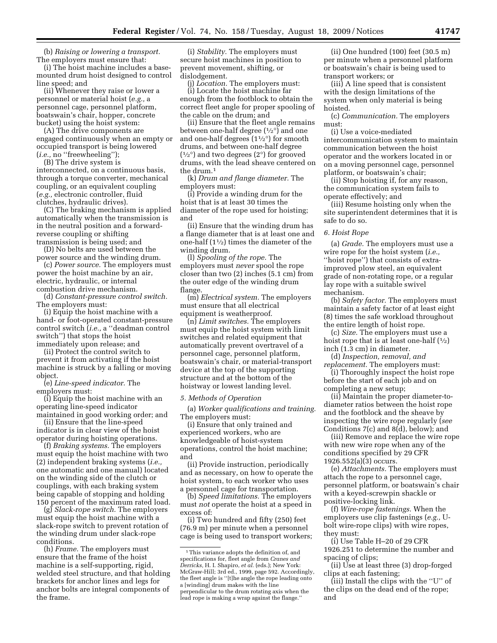(b) *Raising or lowering a transport.*  The employers must ensure that:

(i) The hoist machine includes a basemounted drum hoist designed to control line speed; and

(ii) Whenever they raise or lower a personnel or material hoist (*e.g.,* a personnel cage, personnel platform, boatswain's chair, hopper, concrete bucket) using the hoist system:

(A) The drive components are engaged continuously when an empty or occupied transport is being lowered (*i.e.,* no ''freewheeling'');

(B) The drive system is interconnected, on a continuous basis, through a torque converter, mechanical coupling, or an equivalent coupling (*e.g.,* electronic controller, fluid clutches, hydraulic drives).

(C) The braking mechanism is applied automatically when the transmission is in the neutral position and a forwardreverse coupling or shifting transmission is being used; and

(D) No belts are used between the power source and the winding drum.

(c) *Power source.* The employers must power the hoist machine by an air, electric, hydraulic, or internal combustion drive mechanism.

(d) *Constant-pressure control switch.*  The employers must:

(i) Equip the hoist machine with a hand- or foot-operated constant-pressure control switch (*i.e.,* a ''deadman control switch'') that stops the hoist immediately upon release; and

(ii) Protect the control switch to prevent it from activating if the hoist machine is struck by a falling or moving object.

(e) *Line-speed indicator.* The employers must:

(i) Equip the hoist machine with an operating line-speed indicator maintained in good working order; and

(ii) Ensure that the line-speed indicator is in clear view of the hoist operator during hoisting operations.

(f) *Braking systems.* The employers must equip the hoist machine with two (2) independent braking systems (*i.e.,*  one automatic and one manual) located on the winding side of the clutch or couplings, with each braking system being capable of stopping and holding 150 percent of the maximum rated load.

(g) *Slack-rope switch.* The employers must equip the hoist machine with a slack-rope switch to prevent rotation of the winding drum under slack-rope conditions.

(h) *Frame.* The employers must ensure that the frame of the hoist machine is a self-supporting, rigid, welded steel structure, and that holding brackets for anchor lines and legs for anchor bolts are integral components of the frame.

(i) *Stability.* The employers must secure hoist machines in position to prevent movement, shifting, or dislodgement.

(j) *Location.* The employers must: (i) Locate the hoist machine far enough from the footblock to obtain the correct fleet angle for proper spooling of the cable on the drum; and

(ii) Ensure that the fleet angle remains between one-half degree  $(1/2^{\circ})$  and one and one-half degrees  $(1\frac{1}{2})$  for smooth drums, and between one-half degree  $(1/2^{\circ})$  and two degrees  $(2^{\circ})$  for grooved drums, with the lead sheave centered on the drum.1

(k) *Drum and flange diameter.* The employers must:

(i) Provide a winding drum for the hoist that is at least 30 times the diameter of the rope used for hoisting; and

(ii) Ensure that the winding drum has a flange diameter that is at least one and one-half (11⁄2) times the diameter of the winding drum.

(l) *Spooling of the rope.* The employers must *never* spool the rope closer than two (2) inches (5.1 cm) from the outer edge of the winding drum flange.

(m) *Electrical system.* The employers must ensure that all electrical equipment is weatherproof.

(n) *Limit switches.* The employers must equip the hoist system with limit switches and related equipment that automatically prevent overtravel of a personnel cage, personnel platform, boatswain's chair, or material-transport device at the top of the supporting structure and at the bottom of the hoistway or lowest landing level.

#### *5. Methods of Operation*

(a) *Worker qualifications and training.*  The employers must:

(i) Ensure that only trained and experienced workers, who are knowledgeable of hoist-system operations, control the hoist machine; and

(ii) Provide instruction, periodically and as necessary, on how to operate the hoist system, to each worker who uses a personnel cage for transportation.

(b) *Speed limitations.* The employers must *not* operate the hoist at a speed in excess of:

(i) Two hundred and fifty (250) feet (76.9 m) per minute when a personnel cage is being used to transport workers;

(ii) One hundred (100) feet (30.5 m) per minute when a personnel platform or boatswain's chair is being used to transport workers; or

(iii) A line speed that is consistent with the design limitations of the system when only material is being hoisted.

(c) *Communication.* The employers must:

(i) Use a voice-mediated intercommunication system to maintain communication between the hoist operator and the workers located in or on a moving personnel cage, personnel platform, or boatswain's chair;

(ii) Stop hoisting if, for any reason, the communication system fails to operate effectively; and

(iii) Resume hoisting only when the site superintendent determines that it is safe to do so.

#### *6. Hoist Rope*

(a) *Grade.* The employers must use a wire rope for the hoist system (*i.e.,*  ''hoist rope'') that consists of extraimproved plow steel, an equivalent grade of non-rotating rope, or a regular lay rope with a suitable swivel mechanism.

(b) *Safety factor.* The employers must maintain a safety factor of at least eight (8) times the safe workload throughout the entire length of hoist rope.

(c) *Size.* The employers must use a hoist rope that is at least one-half  $(1/2)$ inch (1.3 cm) in diameter.

(d) *Inspection, removal, and replacement.* The employers must:

(i) Thoroughly inspect the hoist rope before the start of each job and on completing a new setup;

(ii) Maintain the proper diameter-todiameter ratios between the hoist rope and the footblock and the sheave by inspecting the wire rope regularly (*see*  Conditions 7(c) and 8(d), below); and

(iii) Remove and replace the wire rope with new wire rope when any of the conditions specified by 29 CFR 1926.552(a)(3) occurs.

(e) *Attachments.* The employers must attach the rope to a personnel cage, personnel platform, or boatswain's chair with a keyed-screwpin shackle or positive-locking link.

(f) *Wire-rope fastenings.* When the employers use clip fastenings (*e.g.,* Ubolt wire-rope clips) with wire ropes, they must:

(i) Use Table H–20 of 29 CFR 1926.251 to determine the number and spacing of clips;

(ii) Use at least three (3) drop-forged clips at each fastening;

(iii) Install the clips with the ''U'' of the clips on the dead end of the rope; and

<sup>&</sup>lt;sup>1</sup>This variance adopts the definition of, and specifications for, fleet angle from *Cranes and Derricks,* H. I. Shapiro, *et al.* (eds.); New York: McGraw-Hill; 3rd ed., 1999, page 592. Accordingly, the fleet angle is ''[t]he angle the rope leading onto a [winding] drum makes with the line perpendicular to the drum rotating axis when the lead rope is making a wrap against the flange.''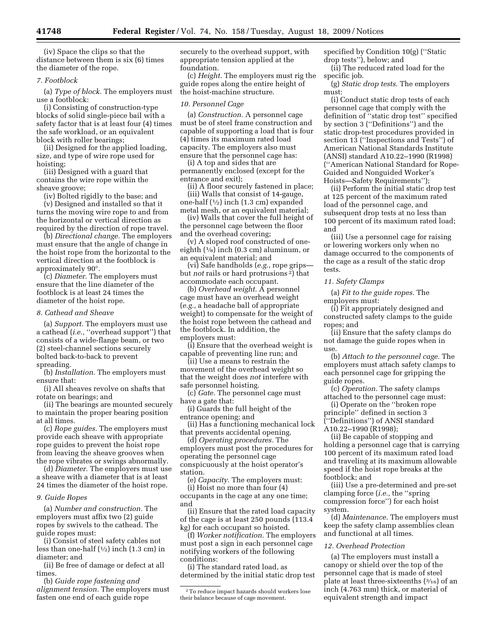(iv) Space the clips so that the distance between them is six (6) times the diameter of the rope.

#### *7. Footblock*

(a) *Type of block.* The employers must use a footblock:

(i) Consisting of construction-type blocks of solid single-piece bail with a safety factor that is at least four (4) times the safe workload, or an equivalent block with roller bearings;

(ii) Designed for the applied loading, size, and type of wire rope used for hoisting;

(iii) Designed with a guard that contains the wire rope within the sheave groove;

(iv) Bolted rigidly to the base; and

(v) Designed and installed so that it turns the moving wire rope to and from the horizontal or vertical direction as required by the direction of rope travel.

(b) *Directional change.* The employers must ensure that the angle of change in the hoist rope from the horizontal to the vertical direction at the footblock is approximately 90°.

(c) *Diameter.* The employers must ensure that the line diameter of the footblock is at least 24 times the diameter of the hoist rope.

### *8. Cathead and Sheave*

(a) *Support.* The employers must use a cathead (*i.e.,* ''overhead support'') that consists of a wide-flange beam, or two (2) steel-channel sections securely bolted back-to-back to prevent spreading.

(b) *Installation.* The employers must ensure that:

(i) All sheaves revolve on shafts that rotate on bearings; and

(ii) The bearings are mounted securely to maintain the proper bearing position at all times.

(c) *Rope guides.* The employers must provide each sheave with appropriate rope guides to prevent the hoist rope from leaving the sheave grooves when the rope vibrates or swings abnormally.

(d) *Diameter.* The employers must use a sheave with a diameter that is at least 24 times the diameter of the hoist rope.

#### *9. Guide Ropes*

(a) *Number and construction.* The employers must affix two (2) guide ropes by swivels to the cathead. The guide ropes must:

(i) Consist of steel safety cables not less than one-half  $(\frac{1}{2})$  inch  $(1.3 \text{ cm})$  in diameter; and

(ii) Be free of damage or defect at all times.

(b) *Guide rope fastening and alignment tension.* The employers must fasten one end of each guide rope

securely to the overhead support, with appropriate tension applied at the foundation.

(c) *Height.* The employers must rig the guide ropes along the entire height of the hoist-machine structure.

#### *10. Personnel Cage*

(a) *Construction.* A personnel cage must be of steel frame construction and capable of supporting a load that is four (4) times its maximum rated load capacity. The employers also must ensure that the personnel cage has:

(i) A top and sides that are permanently enclosed (except for the entrance and exit);

(ii) A floor securely fastened in place; (iii) Walls that consist of 14-gauge,

one-half  $(\frac{1}{2})$  inch  $(1.3 \text{ cm})$  expanded metal mesh, or an equivalent material; (iv) Walls that cover the full height of

the personnel cage between the floor and the overhead covering;

(v) A sloped roof constructed of oneeighth (1⁄8) inch (0.3 cm) aluminum, or an equivalent material; and

(vi) Safe handholds (*e.g.*, rope grips but *not* rails or hard protrusions 2) that accommodate each occupant.

(b) *Overhead weight.* A personnel cage must have an overhead weight (*e.g.*, a headache ball of appropriate weight) to compensate for the weight of the hoist rope between the cathead and the footblock. In addition, the employers must:

(i) Ensure that the overhead weight is capable of preventing line run; and

(ii) Use a means to restrain the movement of the overhead weight so that the weight does *not* interfere with safe personnel hoisting.

(c) *Gate.* The personnel cage must have a gate that:

(i) Guards the full height of the entrance opening; and

(ii) Has a functioning mechanical lock that prevents accidental opening.

(d) *Operating procedures.* The employers must post the procedures for operating the personnel cage conspicuously at the hoist operator's station.

(e) *Capacity.* The employers must:

(i) Hoist no more than four (4) occupants in the cage at any one time; and

(ii) Ensure that the rated load capacity of the cage is at least 250 pounds (113.4 kg) for each occupant so hoisted.

(f) *Worker notification.* The employers must post a sign in each personnel cage notifying workers of the following conditions:

(i) The standard rated load, as determined by the initial static drop test specified by Condition 10(g) (''Static drop tests''), below; and

(ii) The reduced rated load for the specific job.

(g) *Static drop tests.* The employers must:

(i) Conduct static drop tests of each personnel cage that comply with the definition of ''static drop test'' specified by section 3 (''Definitions'') and the static drop-test procedures provided in section 13 (''Inspections and Tests'') of American National Standards Institute (ANSI) standard A10.22–1990 (R1998) (''American National Standard for Rope-Guided and Nonguided Worker's Hoists—Safety Requirements'');

(ii) Perform the initial static drop test at 125 percent of the maximum rated load of the personnel cage, and subsequent drop tests at no less than 100 percent of its maximum rated load; and

(iii) Use a personnel cage for raising or lowering workers only when no damage occurred to the components of the cage as a result of the static drop tests.

#### *11. Safety Clamps*

(a) *Fit to the guide ropes.* The employers must:

(i) Fit appropriately designed and constructed safety clamps to the guide ropes; and

(ii) Ensure that the safety clamps do not damage the guide ropes when in use.

(b) *Attach to the personnel cage.* The employers must attach safety clamps to each personnel cage for gripping the guide ropes.

(c) *Operation.* The safety clamps attached to the personnel cage must:

(i) Operate on the ''broken rope principle'' defined in section 3 (''Definitions'') of ANSI standard A10.22–1990 (R1998);

(ii) Be capable of stopping and holding a personnel cage that is carrying 100 percent of its maximum rated load

and traveling at its maximum allowable speed if the hoist rope breaks at the footblock; and

(iii) Use a pre-determined and pre-set clamping force (*i.e.,* the ''spring compression force'') for each hoist system.

(d) *Maintenance.* The employers must keep the safety clamp assemblies clean and functional at all times.

#### *12. Overhead Protection*

(a) The employers must install a canopy or shield over the top of the personnel cage that is made of steel plate at least three-sixteenths  $(3/16)$  of an inch (4.763 mm) thick, or material of equivalent strength and impact

<sup>2</sup>To reduce impact hazards should workers lose their balance because of cage movement.